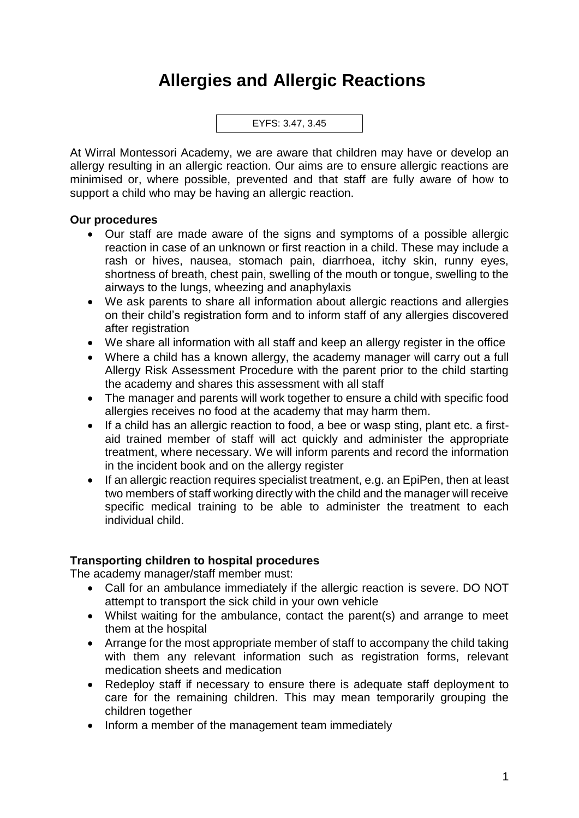## **Allergies and Allergic Reactions**



At Wirral Montessori Academy, we are aware that children may have or develop an allergy resulting in an allergic reaction. Our aims are to ensure allergic reactions are minimised or, where possible, prevented and that staff are fully aware of how to support a child who may be having an allergic reaction.

## **Our procedures**

- Our staff are made aware of the signs and symptoms of a possible allergic reaction in case of an unknown or first reaction in a child. These may include a rash or hives, nausea, stomach pain, diarrhoea, itchy skin, runny eyes, shortness of breath, chest pain, swelling of the mouth or tongue, swelling to the airways to the lungs, wheezing and anaphylaxis
- We ask parents to share all information about allergic reactions and allergies on their child's registration form and to inform staff of any allergies discovered after registration
- We share all information with all staff and keep an allergy register in the office
- Where a child has a known allergy, the academy manager will carry out a full Allergy Risk Assessment Procedure with the parent prior to the child starting the academy and shares this assessment with all staff
- The manager and parents will work together to ensure a child with specific food allergies receives no food at the academy that may harm them.
- If a child has an allergic reaction to food, a bee or wasp sting, plant etc. a firstaid trained member of staff will act quickly and administer the appropriate treatment, where necessary. We will inform parents and record the information in the incident book and on the allergy register
- If an allergic reaction requires specialist treatment, e.g. an EpiPen, then at least two members of staff working directly with the child and the manager will receive specific medical training to be able to administer the treatment to each individual child.

## **Transporting children to hospital procedures**

The academy manager/staff member must:

- Call for an ambulance immediately if the allergic reaction is severe. DO NOT attempt to transport the sick child in your own vehicle
- Whilst waiting for the ambulance, contact the parent(s) and arrange to meet them at the hospital
- Arrange for the most appropriate member of staff to accompany the child taking with them any relevant information such as registration forms, relevant medication sheets and medication
- Redeploy staff if necessary to ensure there is adequate staff deployment to care for the remaining children. This may mean temporarily grouping the children together
- Inform a member of the management team immediately